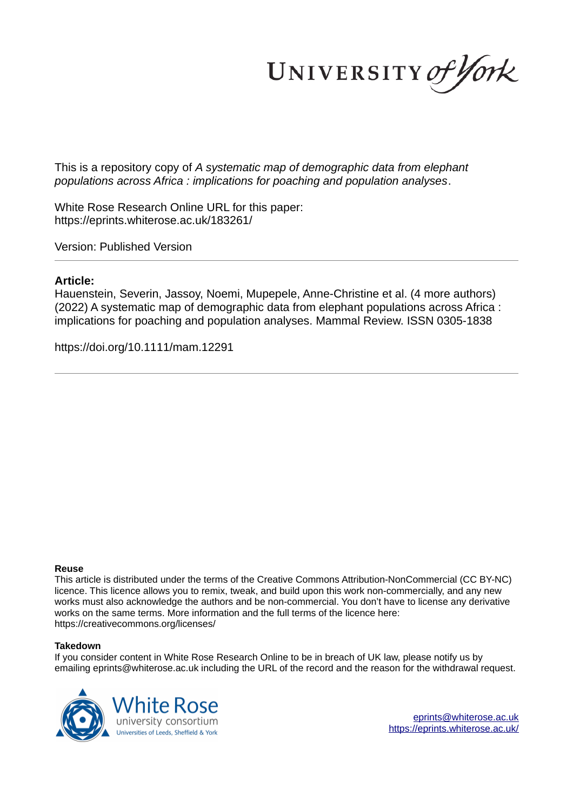UNIVERSITY of York

This is a repository copy of *A systematic map of demographic data from elephant populations across Africa : implications for poaching and population analyses*.

White Rose Research Online URL for this paper: https://eprints.whiterose.ac.uk/183261/

Version: Published Version

# **Article:**

Hauenstein, Severin, Jassoy, Noemi, Mupepele, Anne-Christine et al. (4 more authors) (2022) A systematic map of demographic data from elephant populations across Africa : implications for poaching and population analyses. Mammal Review. ISSN 0305-1838

https://doi.org/10.1111/mam.12291

### **Reuse**

This article is distributed under the terms of the Creative Commons Attribution-NonCommercial (CC BY-NC) licence. This licence allows you to remix, tweak, and build upon this work non-commercially, and any new works must also acknowledge the authors and be non-commercial. You don't have to license any derivative works on the same terms. More information and the full terms of the licence here: https://creativecommons.org/licenses/

### **Takedown**

If you consider content in White Rose Research Online to be in breach of UK law, please notify us by emailing eprints@whiterose.ac.uk including the URL of the record and the reason for the withdrawal request.



eprints@whiterose.ac.uk https://eprints.whiterose.ac.uk/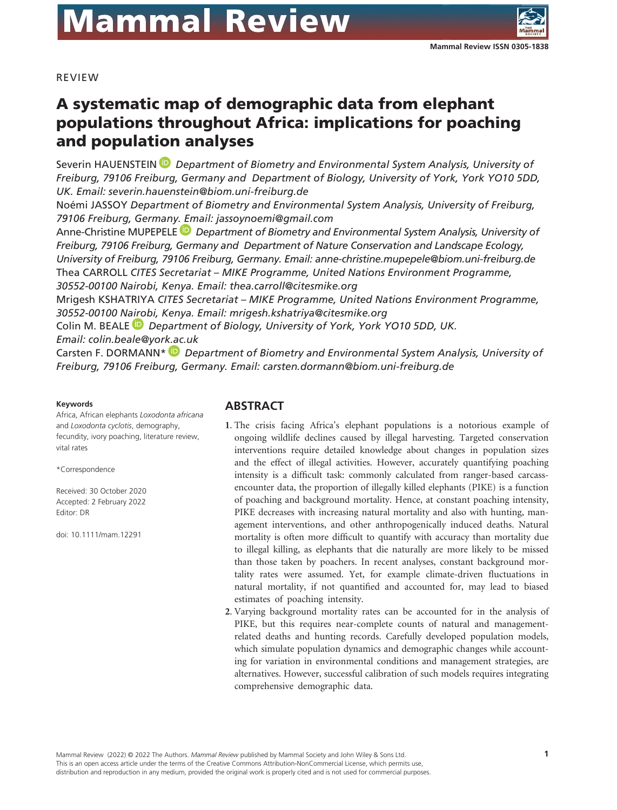

REVIEW

# A systematic map of demographic data from elephant populations throughout Africa: implications for poaching and population analyses

Severin HAUENSTEIN  *Department of Biometry and Environmental System Analysis, University of Freiburg, 79106 Freiburg, Germany and Department of Biology, University of York, York YO10 5DD, UK. Email: severin.hauenstein@biom.uni-freiburg.de*

Noémi JASSOY *Department of Biometry and Environmental System Analysis, University of Freiburg, 79106 Freiburg, Germany. Email: jassoynoemi@gmail.com*

Anne-Christine MUPEPELE<sup>D</sup> Department of Biometry and Environmental System Analysis, University of *Freiburg, 79106 Freiburg, Germany and Department of Nature Conservation and Landscape Ecology, University of Freiburg, 79106 Freiburg, Germany. Email: anne-christine.mupepele@biom.uni-freiburg.de* Thea CARROLL *CITES Secretariat – MIKE Programme, United Nations Environment Programme, 30552- 00100 Nairobi, Kenya. Email: thea.carroll@citesmike.org*

Mrigesh KSHATRIYA *CITES Secretariat – MIKE Programme, United Nations Environment Programme, 30552- 00100 Nairobi, Kenya. Email: mrigesh.kshatriya@citesmike.org*

Colin M. BEALE  *Department of Biology, University of York, York YO10 5DD, UK.* 

*Email: colin.beale@york.ac.uk*

Carsten F. DORMANN\*  *Department of Biometry and Environmental System Analysis, University of Freiburg, 79106 Freiburg, Germany. Email: carsten.dormann@biom.uni-freiburg.de*

#### **Keywords**

Africa, African elephants *Loxodonta africana* and *Loxodonta cyclotis*, demography, fecundity, ivory poaching, literature review, vital rates

\*Correspondence

Received: 30 October 2020 Accepted: 2 February 2022 Editor: DR

doi: 10.1111/mam.12291

### **ABSTRACT**

- **1**. The crisis facing Africa's elephant populations is a notorious example of ongoing wildlife declines caused by illegal harvesting. Targeted conservation interventions require detailed knowledge about changes in population sizes and the effect of illegal activities. However, accurately quantifying poaching intensity is a difficult task: commonly calculated from ranger- based carcassencounter data, the proportion of illegally killed elephants (PIKE) is a function of poaching and background mortality. Hence, at constant poaching intensity, PIKE decreases with increasing natural mortality and also with hunting, management interventions, and other anthropogenically induced deaths. Natural mortality is often more difficult to quantify with accuracy than mortality due to illegal killing, as elephants that die naturally are more likely to be missed than those taken by poachers. In recent analyses, constant background mortality rates were assumed. Yet, for example climate- driven fluctuations in natural mortality, if not quantified and accounted for, may lead to biased estimates of poaching intensity.
- **2**. Varying background mortality rates can be accounted for in the analysis of PIKE, but this requires near-complete counts of natural and managementrelated deaths and hunting records. Carefully developed population models, which simulate population dynamics and demographic changes while accounting for variation in environmental conditions and management strategies, are alternatives. However, successful calibration of such models requires integrating comprehensive demographic data.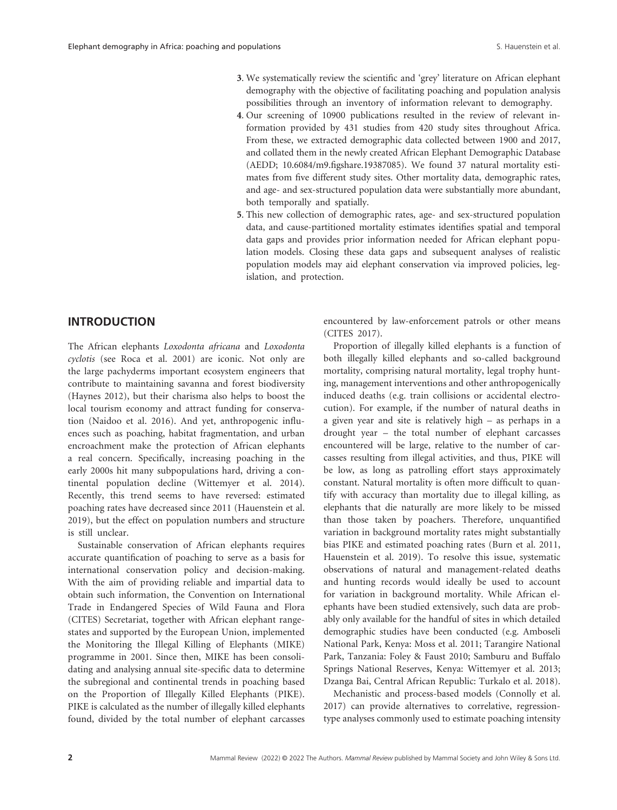- **3**. We systematically review the scientific and 'grey' literature on African elephant demography with the objective of facilitating poaching and population analysis possibilities through an inventory of information relevant to demography.
- **4**. Our screening of 10900 publications resulted in the review of relevant information provided by 431 studies from 420 study sites throughout Africa. From these, we extracted demographic data collected between 1900 and 2017, and collated them in the newly created African Elephant Demographic Database (AEDD; 10.6084/m9.figshare.19387085). We found 37 natural mortality estimates from five different study sites. Other mortality data, demographic rates, and age- and sex- structured population data were substantially more abundant, both temporally and spatially.
- **5**. This new collection of demographic rates, age- and sex- structured population data, and cause- partitioned mortality estimates identifies spatial and temporal data gaps and provides prior information needed for African elephant population models. Closing these data gaps and subsequent analyses of realistic population models may aid elephant conservation via improved policies, legislation, and protection.

# **INTRODUCTION**

The African elephants *Loxodonta africana* and *Loxodonta cyclotis* (see Roca et al. 2001) are iconic. Not only are the large pachyderms important ecosystem engineers that contribute to maintaining savanna and forest biodiversity (Haynes 2012), but their charisma also helps to boost the local tourism economy and attract funding for conservation (Naidoo et al. 2016). And yet, anthropogenic influences such as poaching, habitat fragmentation, and urban encroachment make the protection of African elephants a real concern. Specifically, increasing poaching in the early 2000s hit many subpopulations hard, driving a continental population decline (Wittemyer et al. 2014). Recently, this trend seems to have reversed: estimated poaching rates have decreased since 2011 (Hauenstein et al. 2019), but the effect on population numbers and structure is still unclear.

Sustainable conservation of African elephants requires accurate quantification of poaching to serve as a basis for international conservation policy and decision-making. With the aim of providing reliable and impartial data to obtain such information, the Convention on International Trade in Endangered Species of Wild Fauna and Flora (CITES) Secretariat, together with African elephant rangestates and supported by the European Union, implemented the Monitoring the Illegal Killing of Elephants (MIKE) programme in 2001. Since then, MIKE has been consolidating and analysing annual site-specific data to determine the subregional and continental trends in poaching based on the Proportion of Illegally Killed Elephants (PIKE). PIKE is calculated as the number of illegally killed elephants found, divided by the total number of elephant carcasses encountered by law-enforcement patrols or other means (CITES 2017).

Proportion of illegally killed elephants is a function of both illegally killed elephants and so-called background mortality, comprising natural mortality, legal trophy hunting, management interventions and other anthropogenically induced deaths (e.g. train collisions or accidental electrocution). For example, if the number of natural deaths in a given year and site is relatively high – as perhaps in a drought year – the total number of elephant carcasses encountered will be large, relative to the number of carcasses resulting from illegal activities, and thus, PIKE will be low, as long as patrolling effort stays approximately constant. Natural mortality is often more difficult to quantify with accuracy than mortality due to illegal killing, as elephants that die naturally are more likely to be missed than those taken by poachers. Therefore, unquantified variation in background mortality rates might substantially bias PIKE and estimated poaching rates (Burn et al. 2011, Hauenstein et al. 2019). To resolve this issue, systematic observations of natural and management- related deaths and hunting records would ideally be used to account for variation in background mortality. While African elephants have been studied extensively, such data are probably only available for the handful of sites in which detailed demographic studies have been conducted (e.g. Amboseli National Park, Kenya: Moss et al. 2011; Tarangire National Park, Tanzania: Foley & Faust 2010; Samburu and Buffalo Springs National Reserves, Kenya: Wittemyer et al. 2013; Dzanga Bai, Central African Republic: Turkalo et al. 2018).

Mechanistic and process-based models (Connolly et al. 2017) can provide alternatives to correlative, regressiontype analyses commonly used to estimate poaching intensity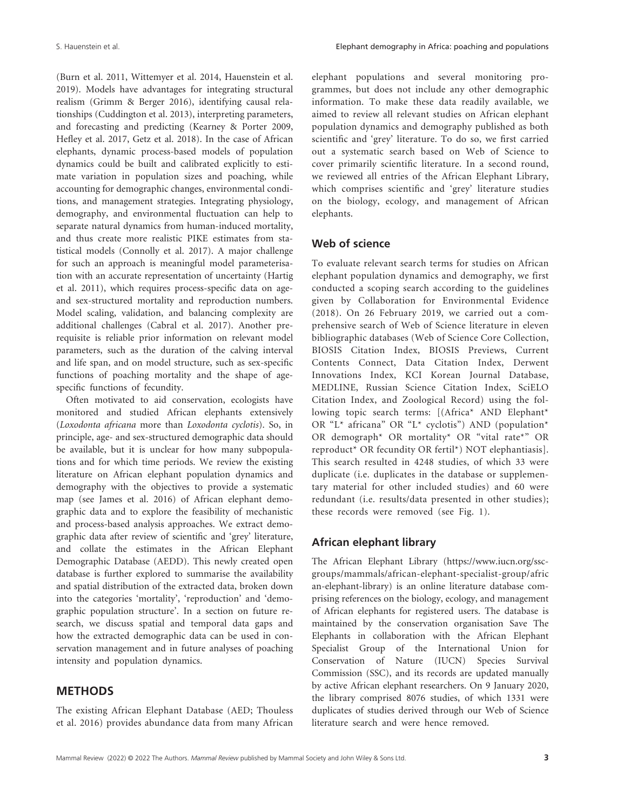(Burn et al. 2011, Wittemyer et al. 2014, Hauenstein et al. 2019). Models have advantages for integrating structural realism (Grimm & Berger 2016), identifying causal relationships (Cuddington et al. 2013), interpreting parameters, and forecasting and predicting (Kearney & Porter 2009, Hefley et al. 2017, Getz et al. 2018). In the case of African elephants, dynamic process- based models of population dynamics could be built and calibrated explicitly to estimate variation in population sizes and poaching, while accounting for demographic changes, environmental conditions, and management strategies. Integrating physiology, demography, and environmental fluctuation can help to separate natural dynamics from human-induced mortality, and thus create more realistic PIKE estimates from statistical models (Connolly et al. 2017). A major challenge for such an approach is meaningful model parameterisation with an accurate representation of uncertainty (Hartig et al. 2011), which requires process- specific data on ageand sex- structured mortality and reproduction numbers. Model scaling, validation, and balancing complexity are additional challenges (Cabral et al. 2017). Another prerequisite is reliable prior information on relevant model parameters, such as the duration of the calving interval and life span, and on model structure, such as sex- specific functions of poaching mortality and the shape of agespecific functions of fecundity.

Often motivated to aid conservation, ecologists have monitored and studied African elephants extensively (*Loxodonta africana* more than *Loxodonta cyclotis*). So, in principle, age- and sex- structured demographic data should be available, but it is unclear for how many subpopulations and for which time periods. We review the existing literature on African elephant population dynamics and demography with the objectives to provide a systematic map (see James et al. 2016) of African elephant demographic data and to explore the feasibility of mechanistic and process-based analysis approaches. We extract demographic data after review of scientific and 'grey' literature, and collate the estimates in the African Elephant Demographic Database (AEDD). This newly created open database is further explored to summarise the availability and spatial distribution of the extracted data, broken down into the categories 'mortality', 'reproduction' and 'demographic population structure'. In a section on future research, we discuss spatial and temporal data gaps and how the extracted demographic data can be used in conservation management and in future analyses of poaching intensity and population dynamics.

### **METHODS**

The existing African Elephant Database (AED; Thouless et al. 2016) provides abundance data from many African elephant populations and several monitoring programmes, but does not include any other demographic information. To make these data readily available, we aimed to review all relevant studies on African elephant population dynamics and demography published as both scientific and 'grey' literature. To do so, we first carried out a systematic search based on Web of Science to cover primarily scientific literature. In a second round, we reviewed all entries of the African Elephant Library, which comprises scientific and 'grey' literature studies on the biology, ecology, and management of African elephants.

### **Web of science**

To evaluate relevant search terms for studies on African elephant population dynamics and demography, we first conducted a scoping search according to the guidelines given by Collaboration for Environmental Evidence (2018). On 26 February 2019, we carried out a comprehensive search of Web of Science literature in eleven bibliographic databases (Web of Science Core Collection, BIOSIS Citation Index, BIOSIS Previews, Current Contents Connect, Data Citation Index, Derwent Innovations Index, KCI Korean Journal Database, MEDLINE, Russian Science Citation Index, SciELO Citation Index, and Zoological Record) using the following topic search terms: [(Africa\* AND Elephant\* OR "L\* africana" OR "L\* cyclotis") AND (population\* OR demograph\* OR mortality\* OR "vital rate\*" OR reproduct\* OR fecundity OR fertil\*) NOT elephantiasis]. This search resulted in 4248 studies, of which 33 were duplicate (i.e. duplicates in the database or supplementary material for other included studies) and 60 were redundant (i.e. results/data presented in other studies); these records were removed (see Fig. 1).

### **African elephant library**

The African Elephant Library (https://www.iucn.org/sscgroups/mammals/african-elephant-specialist-group/afric an-elephant-library) is an online literature database comprising references on the biology, ecology, and management of African elephants for registered users. The database is maintained by the conservation organisation Save The Elephants in collaboration with the African Elephant Specialist Group of the International Union for Conservation of Nature (IUCN) Species Survival Commission (SSC), and its records are updated manually by active African elephant researchers. On 9 January 2020, the library comprised 8076 studies, of which 1331 were duplicates of studies derived through our Web of Science literature search and were hence removed.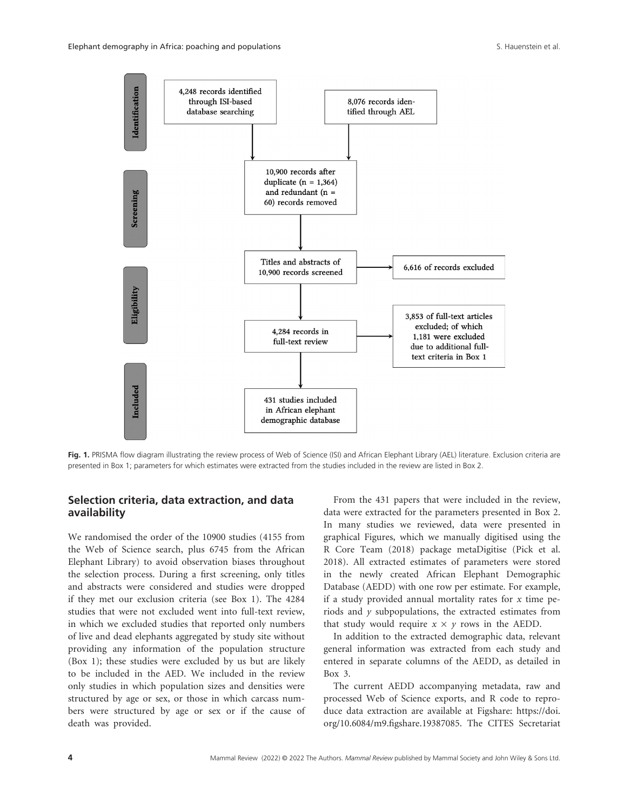

Fig. 1. PRISMA flow diagram illustrating the review process of Web of Science (ISI) and African Elephant Library (AEL) literature. Exclusion criteria are presented in Box 1; parameters for which estimates were extracted from the studies included in the review are listed in Box 2.

### **Selection criteria, data extraction, and data availability**

We randomised the order of the 10900 studies (4155 from the Web of Science search, plus 6745 from the African Elephant Library) to avoid observation biases throughout the selection process. During a first screening, only titles and abstracts were considered and studies were dropped if they met our exclusion criteria (see Box 1). The 4284 studies that were not excluded went into full-text review, in which we excluded studies that reported only numbers of live and dead elephants aggregated by study site without providing any information of the population structure (Box 1); these studies were excluded by us but are likely to be included in the AED. We included in the review only studies in which population sizes and densities were structured by age or sex, or those in which carcass numbers were structured by age or sex or if the cause of death was provided.

From the 431 papers that were included in the review, data were extracted for the parameters presented in Box 2. In many studies we reviewed, data were presented in graphical Figures, which we manually digitised using the R Core Team (2018) package metaDigitise (Pick et al. 2018). All extracted estimates of parameters were stored in the newly created African Elephant Demographic Database (AEDD) with one row per estimate. For example, if a study provided annual mortality rates for *x* time periods and *y* subpopulations, the extracted estimates from that study would require  $x \times y$  rows in the AEDD.

In addition to the extracted demographic data, relevant general information was extracted from each study and entered in separate columns of the AEDD, as detailed in Box 3.

The current AEDD accompanying metadata, raw and processed Web of Science exports, and R code to reproduce data extraction are available at Figshare: https://doi. org/10.6084/m9.figshare.19387085. The CITES Secretariat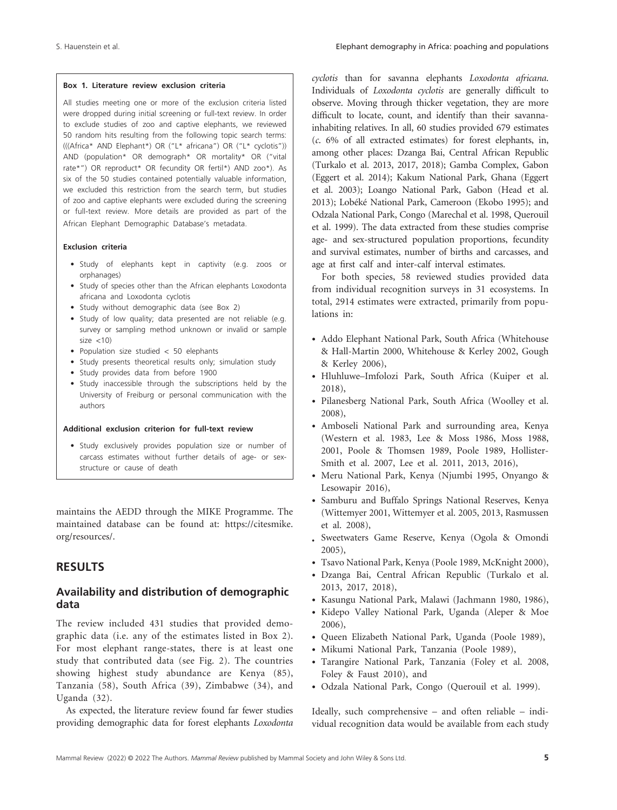#### **Box 1. Literature review exclusion criteria**

All studies meeting one or more of the exclusion criteria listed were dropped during initial screening or full-text review. In order to exclude studies of zoo and captive elephants, we reviewed 50 random hits resulting from the following topic search terms: (((Africa\* AND Elephant\*) OR ("L\* africana") OR ("L\* cyclotis")) AND (population\* OR demograph\* OR mortality\* OR ("vital rate\*") OR reproduct\* OR fecundity OR fertil\*) AND zoo\*). As six of the 50 studies contained potentially valuable information, we excluded this restriction from the search term, but studies of zoo and captive elephants were excluded during the screening or full- text review. More details are provided as part of the African Elephant Demographic Database's metadata.

#### **Exclusion criteria**

- Study of elephants kept in captivity (e.g. zoos or orphanages)
- Study of species other than the African elephants Loxodonta africana and Loxodonta cyclotis
- Study without demographic data (see Box 2)
- Study of low quality; data presented are not reliable (e.g. survey or sampling method unknown or invalid or sample  $size <10$ )
- Population size studied < 50 elephants
- Study presents theoretical results only; simulation study
- Study provides data from before 1900
- Study inaccessible through the subscriptions held by the University of Freiburg or personal communication with the authors

#### Additional exclusion criterion for full-text review

• Study exclusively provides population size or number of carcass estimates without further details of age- or sexstructure or cause of death

maintains the AEDD through the MIKE Programme. The maintained database can be found at: https://citesmike. org/resources/.

# **RESULTS**

### **Availability and distribution of demographic data**

The review included 431 studies that provided demographic data (i.e. any of the estimates listed in Box 2). For most elephant range-states, there is at least one study that contributed data (see Fig. 2). The countries showing highest study abundance are Kenya (85), Tanzania (58), South Africa (39), Zimbabwe (34), and Uganda (32).

As expected, the literature review found far fewer studies providing demographic data for forest elephants *Loxodonta* 

*cyclotis* than for savanna elephants *Loxodonta africana*. Individuals of *Loxodonta cyclotis* are generally difficult to observe. Moving through thicker vegetation, they are more difficult to locate, count, and identify than their savannainhabiting relatives. In all, 60 studies provided 679 estimates (*c*. 6% of all extracted estimates) for forest elephants, in, among other places: Dzanga Bai, Central African Republic (Turkalo et al. 2013, 2017, 2018); Gamba Complex, Gabon (Eggert et al. 2014); Kakum National Park, Ghana (Eggert et al. 2003); Loango National Park, Gabon (Head et al. 2013); Lobéké National Park, Cameroon (Ekobo 1995); and Odzala National Park, Congo (Marechal et al. 1998, Querouil et al. 1999). The data extracted from these studies comprise age- and sex- structured population proportions, fecundity and survival estimates, number of births and carcasses, and age at first calf and inter-calf interval estimates.

For both species, 58 reviewed studies provided data from individual recognition surveys in 31 ecosystems. In total, 2914 estimates were extracted, primarily from populations in:

- Addo Elephant National Park, South Africa (Whitehouse & Hall- Martin 2000, Whitehouse & Kerley 2002, Gough & Kerley 2006),
- Hluhluwe– Imfolozi Park, South Africa (Kuiper et al. 2018),
- Pilanesberg National Park, South Africa (Woolley et al. 2008),
- Amboseli National Park and surrounding area, Kenya (Western et al. 1983, Lee & Moss 1986, Moss 1988, 2001, Poole & Thomsen 1989, Poole 1989, Hollister-Smith et al. 2007, Lee et al. 2011, 2013, 2016),
- Meru National Park, Kenya (Njumbi 1995, Onyango & Lesowapir 2016),
- Samburu and Buffalo Springs National Reserves, Kenya (Wittemyer 2001, Wittemyer et al. 2005, 2013, Rasmussen et al. 2008),
- Sweetwaters Game Reserve, Kenya (Ogola & Omondi 2005),
- Tsavo National Park, Kenya (Poole 1989, McKnight 2000),
- Dzanga Bai, Central African Republic (Turkalo et al. 2013, 2017, 2018),
- Kasungu National Park, Malawi (Jachmann 1980, 1986),
- Kidepo Valley National Park, Uganda (Aleper & Moe 2006),
- Queen Elizabeth National Park, Uganda (Poole 1989),
- Mikumi National Park, Tanzania (Poole 1989),
- Tarangire National Park, Tanzania (Foley et al. 2008, Foley & Faust 2010), and
- Odzala National Park, Congo (Querouil et al. 1999).

Ideally, such comprehensive – and often reliable – individual recognition data would be available from each study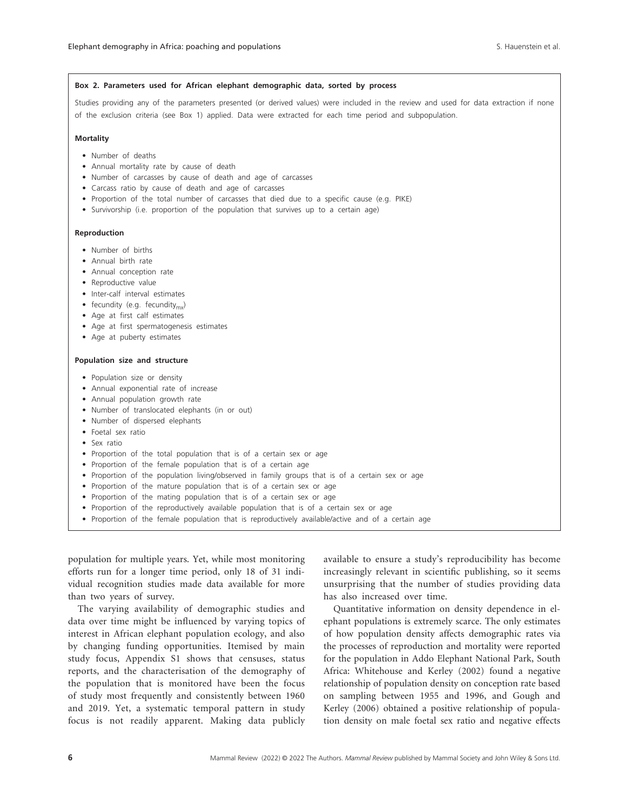#### **Box 2. Parameters used for African elephant demographic data, sorted by process**

Studies providing any of the parameters presented (or derived values) were included in the review and used for data extraction if none of the exclusion criteria (see Box 1) applied. Data were extracted for each time period and subpopulation.

#### **Mortality**

- Number of deaths
- Annual mortality rate by cause of death
- Number of carcasses by cause of death and age of carcasses
- Carcass ratio by cause of death and age of carcasses
- Proportion of the total number of carcasses that died due to a specific cause (e.g. PIKE)
- Survivorship (i.e. proportion of the population that survives up to a certain age)

#### **Reproduction**

- Number of births
- Annual birth rate
- Annual conception rate
- Reproductive value
- Inter-calf interval estimates
- fecundity (e.g. fecundity<sub>mv</sub>)
- Age at first calf estimates
- Age at first spermatogenesis estimates
- Age at puberty estimates

#### **Population size and structure**

- Population size or density
- Annual exponential rate of increase
- Annual population growth rate
- Number of translocated elephants (in or out)
- Number of dispersed elephants
- Foetal sex ratio
- Sex ratio
- Proportion of the total population that is of a certain sex or age
- Proportion of the female population that is of a certain age
- Proportion of the population living/observed in family groups that is of a certain sex or age
- Proportion of the mature population that is of a certain sex or age
- Proportion of the mating population that is of a certain sex or age
- Proportion of the reproductively available population that is of a certain sex or age
- Proportion of the female population that is reproductively available/active and of a certain age

population for multiple years. Yet, while most monitoring efforts run for a longer time period, only 18 of 31 individual recognition studies made data available for more than two years of survey.

The varying availability of demographic studies and data over time might be influenced by varying topics of interest in African elephant population ecology, and also by changing funding opportunities. Itemised by main study focus, Appendix S1 shows that censuses, status reports, and the characterisation of the demography of the population that is monitored have been the focus of study most frequently and consistently between 1960 and 2019. Yet, a systematic temporal pattern in study focus is not readily apparent. Making data publicly

available to ensure a study's reproducibility has become increasingly relevant in scientific publishing, so it seems unsurprising that the number of studies providing data has also increased over time.

Quantitative information on density dependence in elephant populations is extremely scarce. The only estimates of how population density affects demographic rates via the processes of reproduction and mortality were reported for the population in Addo Elephant National Park, South Africa: Whitehouse and Kerley (2002) found a negative relationship of population density on conception rate based on sampling between 1955 and 1996, and Gough and Kerley (2006) obtained a positive relationship of population density on male foetal sex ratio and negative effects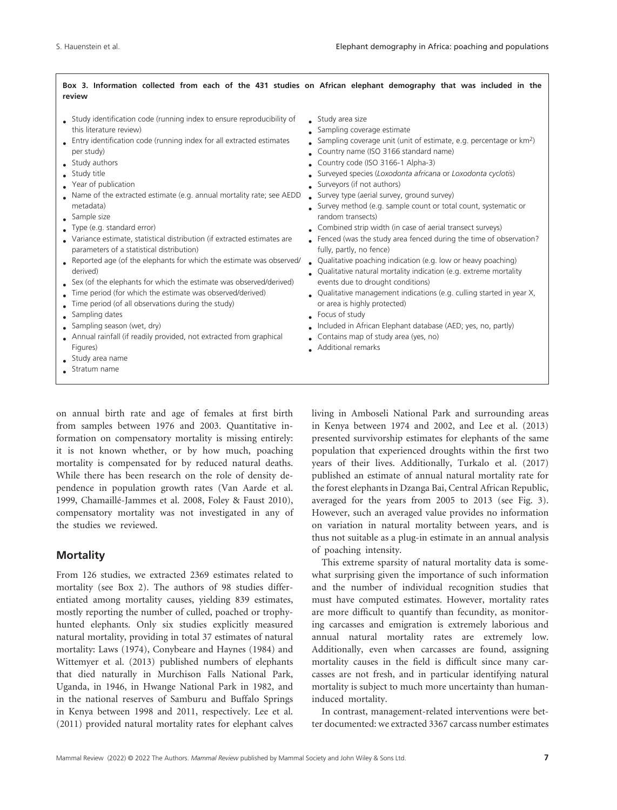### **Box 3. Information collected from each of the 431 studies on African elephant demography that was included in the review**

- Study identification code (running index to ensure reproducibility of this literature review)
- Entry identification code (running index for all extracted estimates per study)
- Study authors
- Study title
- Year of publication
- Name of the extracted estimate (e.g. annual mortality rate; see AEDD metadata)
- Sample size
- Type (e.g. standard error)
- Variance estimate, statistical distribution (if extracted estimates are parameters of a statistical distribution)
- Reported age (of the elephants for which the estimate was observed/ Qualitative poaching indication (e.g. low or heavy poaching) derived)
- Sex (of the elephants for which the estimate was observed/derived)
- Time period (for which the estimate was observed/derived)
- Time period (of all observations during the study)
- Sampling dates
- Sampling season (wet, dry)
- Annual rainfall (if readily provided, not extracted from graphical Figures)
- Study area name
- Stratum name
- on annual birth rate and age of females at first birth from samples between 1976 and 2003. Quantitative information on compensatory mortality is missing entirely: it is not known whether, or by how much, poaching mortality is compensated for by reduced natural deaths. While there has been research on the role of density dependence in population growth rates (Van Aarde et al. 1999, Chamaillé- Jammes et al. 2008, Foley & Faust 2010), compensatory mortality was not investigated in any of the studies we reviewed.

### **Mortality**

From 126 studies, we extracted 2369 estimates related to mortality (see Box 2). The authors of 98 studies differentiated among mortality causes, yielding 839 estimates, mostly reporting the number of culled, poached or trophyhunted elephants. Only six studies explicitly measured natural mortality, providing in total 37 estimates of natural mortality: Laws (1974), Conybeare and Haynes (1984) and Wittemyer et al. (2013) published numbers of elephants that died naturally in Murchison Falls National Park, Uganda, in 1946, in Hwange National Park in 1982, and in the national reserves of Samburu and Buffalo Springs in Kenya between 1998 and 2011, respectively. Lee et al. (2011) provided natural mortality rates for elephant calves

- Study area size
- Sampling coverage estimate
- Sampling coverage unit (unit of estimate, e.g. percentage or  $km^2$ )
- Country name (ISO 3166 standard name)
- $\bullet$  Country code (ISO 3166-1 Alpha-3)
- Surveyed species (*Loxodonta africana* or *Loxodonta cyclotis*)
- Surveyors (if not authors)
- Survey type (aerial survey, ground survey)
- Survey method (e.g. sample count or total count, systematic or random transects)
- Combined strip width (in case of aerial transect surveys)
- Fenced (was the study area fenced during the time of observation? fully, partly, no fence)
- 
- Qualitative natural mortality indication (e.g. extreme mortality events due to drought conditions)
- Qualitative management indications (e.g. culling started in year X, or area is highly protected)
- Focus of study
- Included in African Elephant database (AED; yes, no, partly)
- Contains map of study area (yes, no)
- Additional remarks

living in Amboseli National Park and surrounding areas in Kenya between 1974 and 2002, and Lee et al. (2013) presented survivorship estimates for elephants of the same population that experienced droughts within the first two years of their lives. Additionally, Turkalo et al. (2017) published an estimate of annual natural mortality rate for the forest elephants in Dzanga Bai, Central African Republic, averaged for the years from 2005 to 2013 (see Fig. 3). However, such an averaged value provides no information on variation in natural mortality between years, and is thus not suitable as a plug-in estimate in an annual analysis of poaching intensity.

This extreme sparsity of natural mortality data is somewhat surprising given the importance of such information and the number of individual recognition studies that must have computed estimates. However, mortality rates are more difficult to quantify than fecundity, as monitoring carcasses and emigration is extremely laborious and annual natural mortality rates are extremely low. Additionally, even when carcasses are found, assigning mortality causes in the field is difficult since many carcasses are not fresh, and in particular identifying natural mortality is subject to much more uncertainty than humaninduced mortality.

In contrast, management- related interventions were better documented: we extracted 3367 carcass number estimates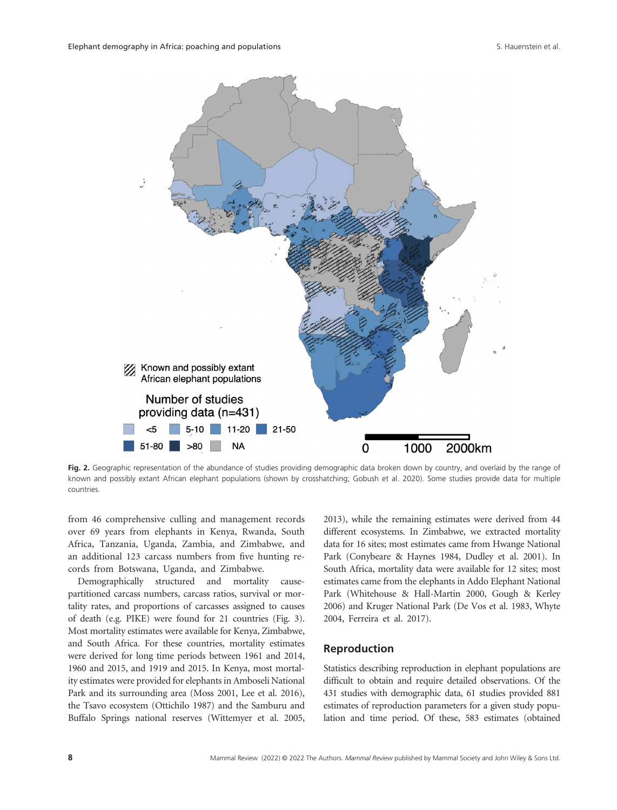

**Fig. 2.** Geographic representation of the abundance of studies providing demographic data broken down by country, and overlaid by the range of known and possibly extant African elephant populations (shown by crosshatching; Gobush et al. 2020). Some studies provide data for multiple countries.

from 46 comprehensive culling and management records over 69 years from elephants in Kenya, Rwanda, South Africa, Tanzania, Uganda, Zambia, and Zimbabwe, and an additional 123 carcass numbers from five hunting records from Botswana, Uganda, and Zimbabwe.

Demographically structured and mortality causepartitioned carcass numbers, carcass ratios, survival or mortality rates, and proportions of carcasses assigned to causes of death (e.g. PIKE) were found for 21 countries (Fig. 3). Most mortality estimates were available for Kenya, Zimbabwe, and South Africa. For these countries, mortality estimates were derived for long time periods between 1961 and 2014, 1960 and 2015, and 1919 and 2015. In Kenya, most mortality estimates were provided for elephants in Amboseli National Park and its surrounding area (Moss 2001, Lee et al. 2016), the Tsavo ecosystem (Ottichilo 1987) and the Samburu and Buffalo Springs national reserves (Wittemyer et al. 2005, 2013), while the remaining estimates were derived from 44 different ecosystems. In Zimbabwe, we extracted mortality data for 16 sites; most estimates came from Hwange National Park (Conybeare & Haynes 1984, Dudley et al. 2001). In South Africa, mortality data were available for 12 sites; most estimates came from the elephants in Addo Elephant National Park (Whitehouse & Hall-Martin 2000, Gough & Kerley 2006) and Kruger National Park (De Vos et al. 1983, Whyte 2004, Ferreira et al. 2017).

### **Reproduction**

Statistics describing reproduction in elephant populations are difficult to obtain and require detailed observations. Of the 431 studies with demographic data, 61 studies provided 881 estimates of reproduction parameters for a given study population and time period. Of these, 583 estimates (obtained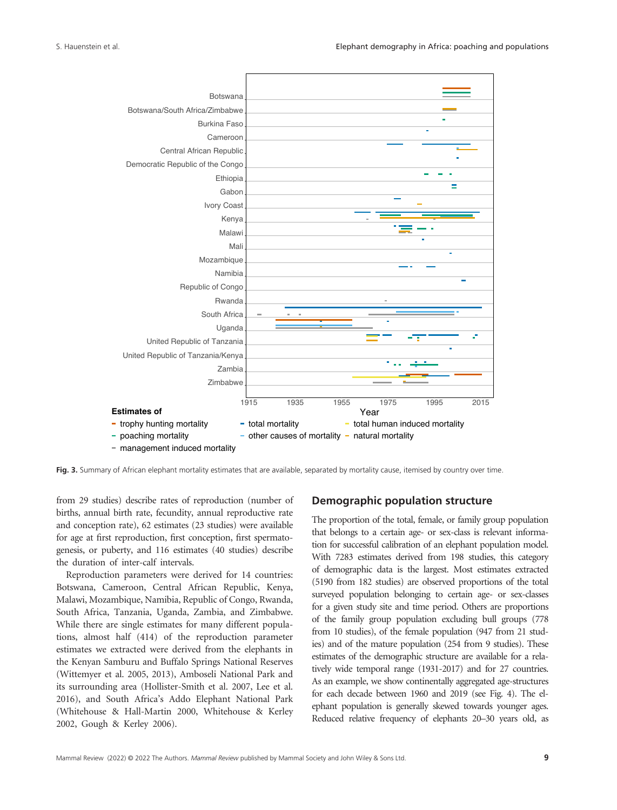

**Fig. 3.** Summary of African elephant mortality estimates that are available, separated by mortality cause, itemised by country over time.

from 29 studies) describe rates of reproduction (number of births, annual birth rate, fecundity, annual reproductive rate and conception rate), 62 estimates (23 studies) were available for age at first reproduction, first conception, first spermatogenesis, or puberty, and 116 estimates (40 studies) describe the duration of inter-calf intervals.

Reproduction parameters were derived for 14 countries: Botswana, Cameroon, Central African Republic, Kenya, Malawi, Mozambique, Namibia, Republic of Congo, Rwanda, South Africa, Tanzania, Uganda, Zambia, and Zimbabwe. While there are single estimates for many different populations, almost half (414) of the reproduction parameter estimates we extracted were derived from the elephants in the Kenyan Samburu and Buffalo Springs National Reserves (Wittemyer et al. 2005, 2013), Amboseli National Park and its surrounding area (Hollister- Smith et al. 2007, Lee et al. 2016), and South Africa's Addo Elephant National Park (Whitehouse & Hall-Martin 2000, Whitehouse & Kerley 2002, Gough & Kerley 2006).

### **Demographic population structure**

The proportion of the total, female, or family group population that belongs to a certain age- or sex- class is relevant information for successful calibration of an elephant population model. With 7283 estimates derived from 198 studies, this category of demographic data is the largest. Most estimates extracted (5190 from 182 studies) are observed proportions of the total surveyed population belonging to certain age- or sex-classes for a given study site and time period. Others are proportions of the family group population excluding bull groups (778 from 10 studies), of the female population (947 from 21 studies) and of the mature population (254 from 9 studies). These estimates of the demographic structure are available for a relatively wide temporal range (1931-2017) and for 27 countries. As an example, we show continentally aggregated age-structures for each decade between 1960 and 2019 (see Fig. 4). The elephant population is generally skewed towards younger ages. Reduced relative frequency of elephants 20–30 years old, as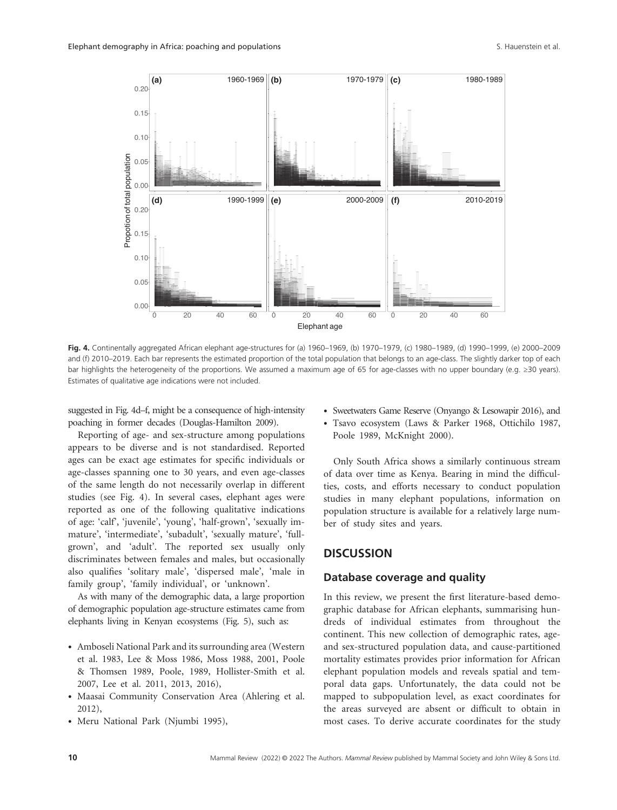

Fig. 4. Continentally aggregated African elephant age-structures for (a) 1960–1969, (b) 1970–1979, (c) 1980–1989, (d) 1990–1999, (e) 2000–2009 and (f) 2010–2019. Each bar represents the estimated proportion of the total population that belongs to an age-class. The slightly darker top of each bar highlights the heterogeneity of the proportions. We assumed a maximum age of 65 for age-classes with no upper boundary (e.g. ≥30 years). Estimates of qualitative age indications were not included.

suggested in Fig. 4d–f, might be a consequence of high-intensity poaching in former decades (Douglas-Hamilton 2009).

Reporting of age- and sex- structure among populations appears to be diverse and is not standardised. Reported ages can be exact age estimates for specific individuals or age- classes spanning one to 30 years, and even age- classes of the same length do not necessarily overlap in different studies (see Fig. 4). In several cases, elephant ages were reported as one of the following qualitative indications of age: 'calf', 'juvenile', 'young', 'half- grown', 'sexually immature', 'intermediate', 'subadult', 'sexually mature', 'fullgrown', and 'adult'. The reported sex usually only discriminates between females and males, but occasionally also qualifies 'solitary male', 'dispersed male', 'male in family group', 'family individual', or 'unknown'.

As with many of the demographic data, a large proportion of demographic population age- structure estimates came from elephants living in Kenyan ecosystems (Fig. 5), such as:

- Amboseli National Park and its surrounding area (Western et al. 1983, Lee & Moss 1986, Moss 1988, 2001, Poole & Thomsen 1989, Poole, 1989, Hollister- Smith et al. 2007, Lee et al. 2011, 2013, 2016),
- Maasai Community Conservation Area (Ahlering et al. 2012),
- Meru National Park (Njumbi 1995),
- Sweetwaters Game Reserve (Onyango & Lesowapir 2016), and
- Tsavo ecosystem (Laws & Parker 1968, Ottichilo 1987, Poole 1989, McKnight 2000).

Only South Africa shows a similarly continuous stream of data over time as Kenya. Bearing in mind the difficulties, costs, and efforts necessary to conduct population studies in many elephant populations, information on population structure is available for a relatively large number of study sites and years.

# **DISCUSSION**

### **Database coverage and quality**

In this review, we present the first literature- based demographic database for African elephants, summarising hundreds of individual estimates from throughout the continent. This new collection of demographic rates, ageand sex- structured population data, and cause- partitioned mortality estimates provides prior information for African elephant population models and reveals spatial and temporal data gaps. Unfortunately, the data could not be mapped to subpopulation level, as exact coordinates for the areas surveyed are absent or difficult to obtain in most cases. To derive accurate coordinates for the study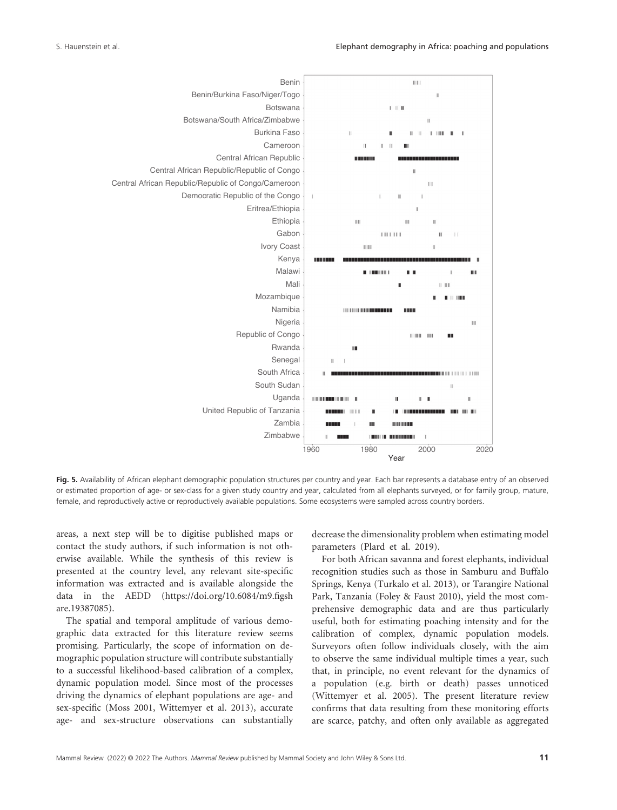

**Fig. 5.** Availability of African elephant demographic population structures per country and year. Each bar represents a database entry of an observed or estimated proportion of age- or sex- class for a given study country and year, calculated from all elephants surveyed, or for family group, mature, female, and reproductively active or reproductively available populations. Some ecosystems were sampled across country borders.

areas, a next step will be to digitise published maps or contact the study authors, if such information is not otherwise available. While the synthesis of this review is presented at the country level, any relevant site- specific information was extracted and is available alongside the data in the AEDD (https://doi.org/10.6084/m9.figsh are.19387085).

The spatial and temporal amplitude of various demographic data extracted for this literature review seems promising. Particularly, the scope of information on demographic population structure will contribute substantially to a successful likelihood- based calibration of a complex, dynamic population model. Since most of the processes driving the dynamics of elephant populations are age- and sex- specific (Moss 2001, Wittemyer et al. 2013), accurate age- and sex- structure observations can substantially

decrease the dimensionality problem when estimating model parameters (Plard et al. 2019).

For both African savanna and forest elephants, individual recognition studies such as those in Samburu and Buffalo Springs, Kenya (Turkalo et al. 2013), or Tarangire National Park, Tanzania (Foley & Faust 2010), yield the most comprehensive demographic data and are thus particularly useful, both for estimating poaching intensity and for the calibration of complex, dynamic population models. Surveyors often follow individuals closely, with the aim to observe the same individual multiple times a year, such that, in principle, no event relevant for the dynamics of a population (e.g. birth or death) passes unnoticed (Wittemyer et al. 2005). The present literature review confirms that data resulting from these monitoring efforts are scarce, patchy, and often only available as aggregated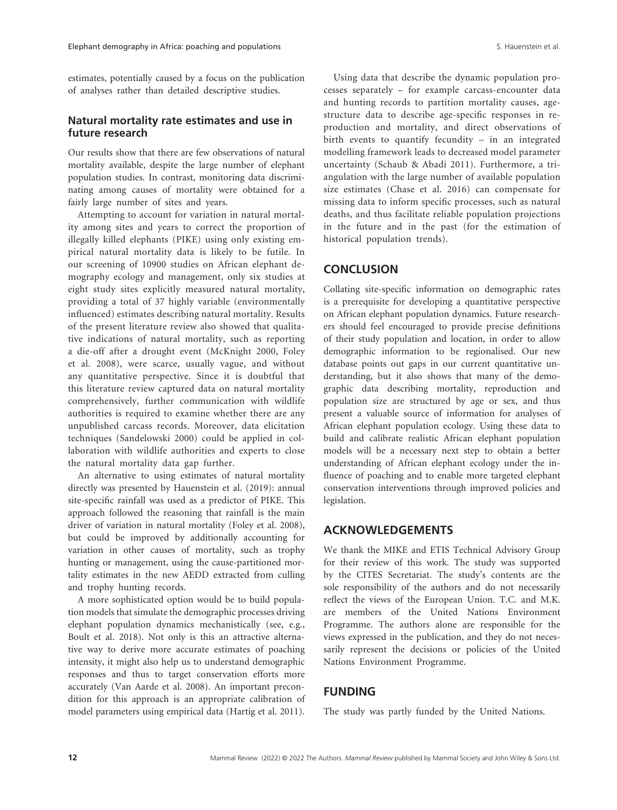estimates, potentially caused by a focus on the publication of analyses rather than detailed descriptive studies.

### **Natural mortality rate estimates and use in future research**

Our results show that there are few observations of natural mortality available, despite the large number of elephant population studies. In contrast, monitoring data discriminating among causes of mortality were obtained for a fairly large number of sites and years.

Attempting to account for variation in natural mortality among sites and years to correct the proportion of illegally killed elephants (PIKE) using only existing empirical natural mortality data is likely to be futile. In our screening of 10900 studies on African elephant demography ecology and management, only six studies at eight study sites explicitly measured natural mortality, providing a total of 37 highly variable (environmentally influenced) estimates describing natural mortality. Results of the present literature review also showed that qualitative indications of natural mortality, such as reporting a die- off after a drought event (McKnight 2000, Foley et al. 2008), were scarce, usually vague, and without any quantitative perspective. Since it is doubtful that this literature review captured data on natural mortality comprehensively, further communication with wildlife authorities is required to examine whether there are any unpublished carcass records. Moreover, data elicitation techniques (Sandelowski 2000) could be applied in collaboration with wildlife authorities and experts to close the natural mortality data gap further.

An alternative to using estimates of natural mortality directly was presented by Hauenstein et al. (2019): annual site- specific rainfall was used as a predictor of PIKE. This approach followed the reasoning that rainfall is the main driver of variation in natural mortality (Foley et al. 2008), but could be improved by additionally accounting for variation in other causes of mortality, such as trophy hunting or management, using the cause-partitioned mortality estimates in the new AEDD extracted from culling and trophy hunting records.

A more sophisticated option would be to build population models that simulate the demographic processes driving elephant population dynamics mechanistically (see, e.g., Boult et al. 2018). Not only is this an attractive alternative way to derive more accurate estimates of poaching intensity, it might also help us to understand demographic responses and thus to target conservation efforts more accurately (Van Aarde et al. 2008). An important precondition for this approach is an appropriate calibration of model parameters using empirical data (Hartig et al. 2011).

Using data that describe the dynamic population processes separately – for example carcass-encounter data and hunting records to partition mortality causes, agestructure data to describe age- specific responses in reproduction and mortality, and direct observations of birth events to quantify fecundity – in an integrated modelling framework leads to decreased model parameter uncertainty (Schaub & Abadi 2011). Furthermore, a triangulation with the large number of available population size estimates (Chase et al. 2016) can compensate for missing data to inform specific processes, such as natural deaths, and thus facilitate reliable population projections in the future and in the past (for the estimation of historical population trends).

# **CONCLUSION**

Collating site- specific information on demographic rates is a prerequisite for developing a quantitative perspective on African elephant population dynamics. Future researchers should feel encouraged to provide precise definitions of their study population and location, in order to allow demographic information to be regionalised. Our new database points out gaps in our current quantitative understanding, but it also shows that many of the demographic data describing mortality, reproduction and population size are structured by age or sex, and thus present a valuable source of information for analyses of African elephant population ecology. Using these data to build and calibrate realistic African elephant population models will be a necessary next step to obtain a better understanding of African elephant ecology under the influence of poaching and to enable more targeted elephant conservation interventions through improved policies and legislation.

# **ACKNOWLEDGEMENTS**

We thank the MIKE and ETIS Technical Advisory Group for their review of this work. The study was supported by the CITES Secretariat. The study's contents are the sole responsibility of the authors and do not necessarily reflect the views of the European Union. T.C. and M.K. are members of the United Nations Environment Programme. The authors alone are responsible for the views expressed in the publication, and they do not necessarily represent the decisions or policies of the United Nations Environment Programme.

# **FUNDING**

The study was partly funded by the United Nations.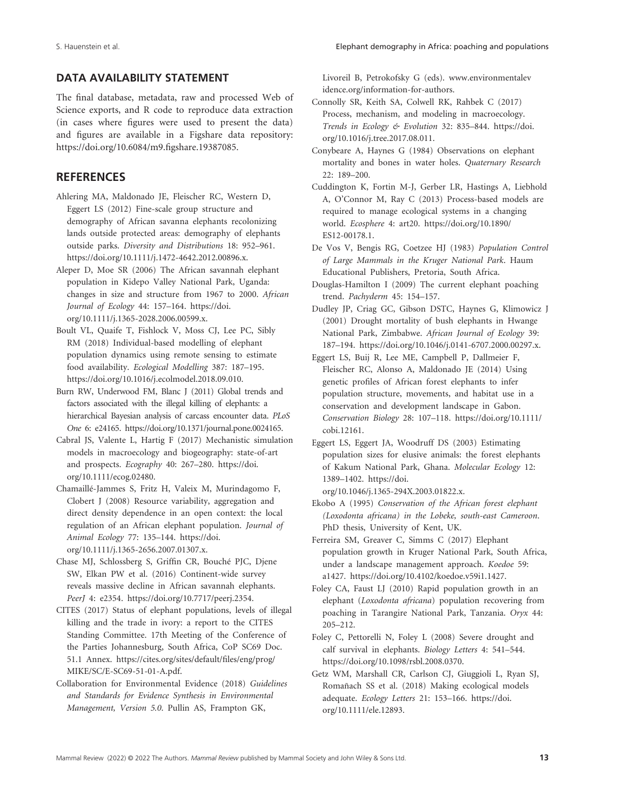# **DATA AVAILABILITY STATEMENT**

The final database, metadata, raw and processed Web of Science exports, and R code to reproduce data extraction (in cases where figures were used to present the data) and figures are available in a Figshare data repository: https://doi.org/10.6084/m9.figshare.19387085.

# **REFERENCES**

- Ahlering MA, Maldonado JE, Fleischer RC, Western D, Eggert LS (2012) Fine- scale group structure and demography of African savanna elephants recolonizing lands outside protected areas: demography of elephants outside parks. *Diversity and Distributions* 18: 952-961. https://doi.org/10.1111/j.1472- 4642.2012.00896.x.
- Aleper D, Moe SR (2006) The African savannah elephant population in Kidepo Valley National Park, Uganda: changes in size and structure from 1967 to 2000. *African Journal of Ecology* 44: 157– 164. https://doi. org/10.1111/j.1365-2028.2006.00599.x.
- Boult VL, Quaife T, Fishlock V, Moss CJ, Lee PC, Sibly RM (2018) Individual-based modelling of elephant population dynamics using remote sensing to estimate food availability. *Ecological Modelling* 387: 187-195. https://doi.org/10.1016/j.ecolm odel.2018.09.010.
- Burn RW, Underwood FM, Blanc J (2011) Global trends and factors associated with the illegal killing of elephants: a hierarchical Bayesian analysis of carcass encounter data. *PLoS One* 6: e24165. https://doi.org/10.1371/journal.pone.0024165.
- Cabral JS, Valente L, Hartig F (2017) Mechanistic simulation models in macroecology and biogeography: state-of-art and prospects. *Ecography* 40: 267-280. https://doi. org/10.1111/ecog.02480.
- Chamaillé- Jammes S, Fritz H, Valeix M, Murindagomo F, Clobert J (2008) Resource variability, aggregation and direct density dependence in an open context: the local regulation of an African elephant population. *Journal of Animal Ecology* 77: 135– 144. https://doi. org/10.1111/j.1365-2656.2007.01307.x.
- Chase MJ, Schlossberg S, Griffin CR, Bouché PJC, Djene SW, Elkan PW et al. (2016) Continent-wide survey reveals massive decline in African savannah elephants. *PeerJ* 4: e2354. https://doi.org/10.7717/peerj.2354.
- CITES (2017) Status of elephant populations, levels of illegal killing and the trade in ivory: a report to the CITES Standing Committee. 17th Meeting of the Conference of the Parties Johannesburg, South Africa, CoP SC69 Doc. 51.1 Annex. https://cites.org/sites/default/files/eng/prog/ MIKE/SC/E-SC69-51-01-A.pdf.
- Collaboration for Environmental Evidence (2018) *Guidelines and Standards for Evidence Synthesis in Environmental Management, Version 5.0*. Pullin AS, Frampton GK,

Livoreil B, Petrokofsky G (eds). www.environmentalev idence.org/information-for-authors.

- Connolly SR, Keith SA, Colwell RK, Rahbek C (2017) Process, mechanism, and modeling in macroecology. *Trends in Ecology & Evolution* 32: 835– 844. https://doi. org/10.1016/j.tree.2017.08.011.
- Conybeare A, Haynes G (1984) Observations on elephant mortality and bones in water holes. *Quaternary Research* 22: 189– 200.
- Cuddington K, Fortin M-J, Gerber LR, Hastings A, Liebhold A, O'Connor M, Ray C (2013) Process-based models are required to manage ecological systems in a changing world. *Ecosphere* 4: art20. https://doi.org/10.1890/ ES12- 00178.1.
- De Vos V, Bengis RG, Coetzee HJ (1983) *Population Control of Large Mammals in the Kruger National Park*. Haum Educational Publishers, Pretoria, South Africa.
- Douglas- Hamilton I (2009) The current elephant poaching trend. Pachyderm 45: 154-157.
- Dudley JP, Criag GC, Gibson DSTC, Haynes G, Klimowicz J (2001) Drought mortality of bush elephants in Hwange National Park, Zimbabwe. *African Journal of Ecology* 39: 187–194. https://doi.org/10.1046/j.0141-6707.2000.00297.x.
- Eggert LS, Buij R, Lee ME, Campbell P, Dallmeier F, Fleischer RC, Alonso A, Maldonado JE (2014) Using genetic profiles of African forest elephants to infer population structure, movements, and habitat use in a conservation and development landscape in Gabon. *Conservation Biology* 28: 107– 118. https://doi.org/10.1111/ cobi.12161.
- Eggert LS, Eggert JA, Woodruff DS (2003) Estimating population sizes for elusive animals: the forest elephants of Kakum National Park, Ghana. *Molecular Ecology* 12: 1389-1402. https://doi.

org/10.1046/j.1365- 294X.2003.01822.x.

- Ekobo A (1995) *Conservation of the African forest elephant (Loxodonta africana) in the Lobeke, south-east Cameroon.* PhD thesis, University of Kent, UK.
- Ferreira SM, Greaver C, Simms C (2017) Elephant population growth in Kruger National Park, South Africa, under a landscape management approach. *Koedoe* 59: a1427. https://doi.org/10.4102/koedoe.v59i1.1427.
- Foley CA, Faust LJ (2010) Rapid population growth in an elephant (*Loxodonta africana*) population recovering from poaching in Tarangire National Park, Tanzania. *Oryx* 44:  $205 - 212.$
- Foley C, Pettorelli N, Foley L (2008) Severe drought and calf survival in elephants. *Biology Letters* 4: 541-544. https://doi.org/10.1098/rsbl.2008.0370.
- Getz WM, Marshall CR, Carlson CJ, Giuggioli L, Ryan SJ, Romañach SS et al. (2018) Making ecological models adequate. *Ecology Letters* 21: 153– 166. https://doi. org/10.1111/ele.12893.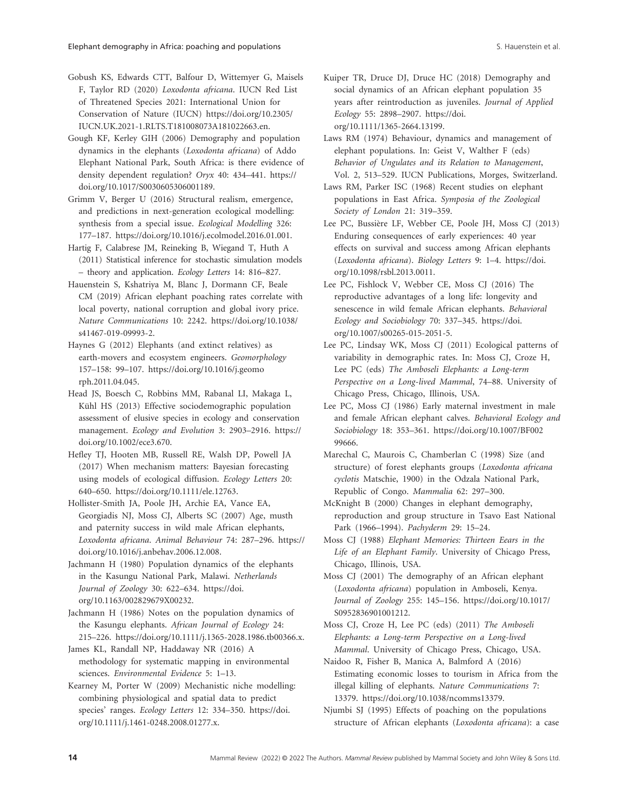- Gobush KS, Edwards CTT, Balfour D, Wittemyer G, Maisels F, Taylor RD (2020) *Loxodonta africana*. IUCN Red List of Threatened Species 2021: International Union for Conservation of Nature (IUCN) https://doi.org/10.2305/ IUCN.UK.2021-1.RLTS.T181008073A181022663.en.
- Gough KF, Kerley GIH (2006) Demography and population dynamics in the elephants (*Loxodonta africana*) of Addo Elephant National Park, South Africa: is there evidence of density dependent regulation? *Oryx* 40: 434-441. https:// doi.org/10.1017/S0030605306001189.
- Grimm V, Berger U (2016) Structural realism, emergence, and predictions in next-generation ecological modelling: synthesis from a special issue. *Ecological Modelling* 326: 177– 187. https://doi.org/10.1016/j.ecolm odel.2016.01.001.
- Hartig F, Calabrese JM, Reineking B, Wiegand T, Huth A (2011) Statistical inference for stochastic simulation models – theory and application. *Ecology Letters* 14: 816– 827.
- Hauenstein S, Kshatriya M, Blanc J, Dormann CF, Beale CM (2019) African elephant poaching rates correlate with local poverty, national corruption and global ivory price. *Nature Communications* 10: 2242. https://doi.org/10.1038/ s41467-019-09993-2.
- Haynes G (2012) Elephants (and extinct relatives) as earth- movers and ecosystem engineers. *Geomorphology* 157– 158: 99– 107. https://doi.org/10.1016/j.geomo rph.2011.04.045.
- Head JS, Boesch C, Robbins MM, Rabanal LI, Makaga L, Kühl HS (2013) Effective sociodemographic population assessment of elusive species in ecology and conservation management. *Ecology and Evolution* 3: 2903-2916. https:// doi.org/10.1002/ece3.670.
- Hefley TJ, Hooten MB, Russell RE, Walsh DP, Powell JA (2017) When mechanism matters: Bayesian forecasting using models of ecological diffusion. *Ecology Letters* 20: 640– 650. https://doi.org/10.1111/ele.12763.
- Hollister- Smith JA, Poole JH, Archie EA, Vance EA, Georgiadis NJ, Moss CJ, Alberts SC (2007) Age, musth and paternity success in wild male African elephants, *Loxodonta africana*. *Animal Behaviour* 74: 287– 296. https:// doi.org/10.1016/j.anbehav.2006.12.008.
- Jachmann H (1980) Population dynamics of the elephants in the Kasungu National Park, Malawi. *Netherlands Journal of Zoology* 30: 622–634. https://doi. org/10.1163/002829679X00232.
- Jachmann H (1986) Notes on the population dynamics of the Kasungu elephants. *African Journal of Ecology* 24: 215–226. https://doi.org/10.1111/j.1365-2028.1986.tb00366.x.

James KL, Randall NP, Haddaway NR (2016) A methodology for systematic mapping in environmental sciences. *Environmental Evidence* 5: 1-13.

Kearney M, Porter W (2009) Mechanistic niche modelling: combining physiological and spatial data to predict species' ranges. *Ecology Letters* 12: 334-350. https://doi. org/10.1111/j.1461-0248.2008.01277.x.

- Kuiper TR, Druce DJ, Druce HC (2018) Demography and social dynamics of an African elephant population 35 years after reintroduction as juveniles. *Journal of Applied Ecology* 55: 2898– 2907. https://doi. org/10.1111/1365-2664.13199.
- Laws RM (1974) Behaviour, dynamics and management of elephant populations. In: Geist V, Walther F (eds) *Behavior of Ungulates and its Relation to Management*, Vol. 2, 513-529. IUCN Publications, Morges, Switzerland.
- Laws RM, Parker ISC (1968) Recent studies on elephant populations in East Africa. *Symposia of the Zoological*  Society of London 21: 319-359.
- Lee PC, Bussière LF, Webber CE, Poole JH, Moss CJ (2013) Enduring consequences of early experiences: 40 year effects on survival and success among African elephants (Loxodonta africana). Biology Letters 9: 1-4. https://doi. org/10.1098/rsbl.2013.0011.
- Lee PC, Fishlock V, Webber CE, Moss CJ (2016) The reproductive advantages of a long life: longevity and senescence in wild female African elephants. *Behavioral Ecology and Sociobiology* 70: 337– 345. https://doi. org/10.1007/s00265-015-2051-5.
- Lee PC, Lindsay WK, Moss CJ (2011) Ecological patterns of variability in demographic rates. In: Moss CJ, Croze H, Lee PC (eds) *The Amboseli Elephants: a Long- term*  Perspective on a Long-lived Mammal, 74–88. University of Chicago Press, Chicago, Illinois, USA.
- Lee PC, Moss CJ (1986) Early maternal investment in male and female African elephant calves. *Behavioral Ecology and Sociobiology* 18: 353– 361. https://doi.org/10.1007/BF002 99666.
- Marechal C, Maurois C, Chamberlan C (1998) Size (and structure) of forest elephants groups (*Loxodonta africana cyclotis* Matschie, 1900) in the Odzala National Park, Republic of Congo. *Mammalia* 62: 297-300.
- McKnight B (2000) Changes in elephant demography, reproduction and group structure in Tsavo East National Park (1966–1994). Pachyderm 29: 15–24.
- Moss CJ (1988) *Elephant Memories: Thirteen Eears in the Life of an Elephant Family*. University of Chicago Press, Chicago, Illinois, USA.
- Moss CJ (2001) The demography of an African elephant (*Loxodonta africana*) population in Amboseli, Kenya. *Journal of Zoology* 255: 145– 156. https://doi.org/10.1017/ S0952836901001212.
- Moss CJ, Croze H, Lee PC (eds) (2011) *The Amboseli Elephants: a Long- term Perspective on a Long- lived Mammal*. University of Chicago Press, Chicago, USA.
- Naidoo R, Fisher B, Manica A, Balmford A (2016) Estimating economic losses to tourism in Africa from the illegal killing of elephants. *Nature Communications* 7: 13379. https://doi.org/10.1038/ncomms13379.
- Njumbi SJ (1995) Effects of poaching on the populations structure of African elephants (*Loxodonta africana*): a case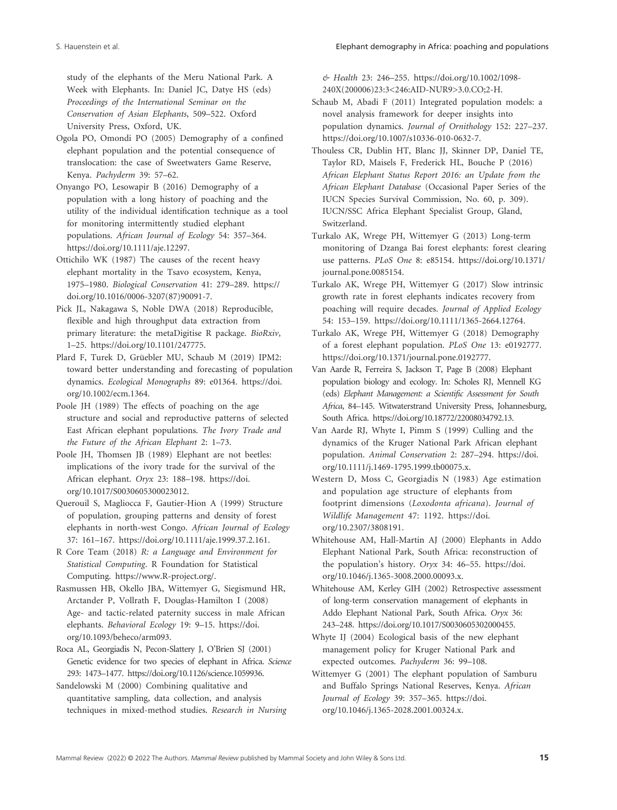study of the elephants of the Meru National Park. A Week with Elephants. In: Daniel JC, Datye HS (eds) *Proceedings of the International Seminar on the*  Conservation of Asian Elephants, 509-522. Oxford University Press, Oxford, UK.

- Ogola PO, Omondi PO (2005) Demography of a confined elephant population and the potential consequence of translocation: the case of Sweetwaters Game Reserve, Kenya. Pachyderm 39: 57-62.
- Onyango PO, Lesowapir B (2016) Demography of a population with a long history of poaching and the utility of the individual identification technique as a tool for monitoring intermittently studied elephant populations. *African Journal of Ecology* 54: 357-364. https://doi.org/10.1111/aje.12297.
- Ottichilo WK (1987) The causes of the recent heavy elephant mortality in the Tsavo ecosystem, Kenya, 1975–1980. *Biological Conservation* 41: 279–289. https:// doi.org/10.1016/0006-3207(87)90091-7.
- Pick JL, Nakagawa S, Noble DWA (2018) Reproducible, flexible and high throughput data extraction from primary literature: the metaDigitise R package. *BioRxiv*, 1–25. https://doi.org/10.1101/247775.
- Plard F, Turek D, Grüebler MU, Schaub M (2019) IPM2: toward better understanding and forecasting of population dynamics. *Ecological Monographs* 89: e01364. https://doi. org/10.1002/ecm.1364.
- Poole JH (1989) The effects of poaching on the age structure and social and reproductive patterns of selected East African elephant populations. *The Ivory Trade and the Future of the African Elephant 2: 1–73.*
- Poole JH, Thomsen JB (1989) Elephant are not beetles: implications of the ivory trade for the survival of the African elephant. Oryx 23: 188-198. https://doi. org/10.1017/S0030605300023012.
- Querouil S, Magliocca F, Gautier-Hion A (1999) Structure of population, grouping patterns and density of forest elephants in north- west Congo. *African Journal of Ecology* 37: 161– 167. https://doi.org/10.1111/aje.1999.37.2.161.
- R Core Team (2018) *R: a Language and Environment for Statistical Computing*. R Foundation for Statistical Computing. https://www.R-project.org/.
- Rasmussen HB, Okello JBA, Wittemyer G, Siegismund HR, Arctander P, Vollrath F, Douglas-Hamilton I (2008) Age- and tactic- related paternity success in male African elephants. *Behavioral Ecology* 19: 9-15. https://doi. org/10.1093/beheco/arm093.
- Roca AL, Georgiadis N, Pecon- Slattery J, O'Brien SJ (2001) Genetic evidence for two species of elephant in Africa. *Science* 293: 1473-1477. https://doi.org/10.1126/science.1059936.
- Sandelowski M (2000) Combining qualitative and quantitative sampling, data collection, and analysis techniques in mixed- method studies. *Research in Nursing*

*& Health* 23: 246– 255. https://doi.org/10.1002/1098- 240X(200006)23:3<246:AID-NUR9>3.0.CO;2-H.

- Schaub M, Abadi F (2011) Integrated population models: a novel analysis framework for deeper insights into population dynamics. *Journal of Ornithology* 152: 227-237. https://doi.org/10.1007/s10336-010-0632-7.
- Thouless CR, Dublin HT, Blanc JJ, Skinner DP, Daniel TE, Taylor RD, Maisels F, Frederick HL, Bouche P (2016) *African Elephant Status Report 2016: an Update from the African Elephant Database* (Occasional Paper Series of the IUCN Species Survival Commission, No. 60, p. 309). IUCN/SSC Africa Elephant Specialist Group, Gland, Switzerland.
- Turkalo AK, Wrege PH, Wittemyer G (2013) Long-term monitoring of Dzanga Bai forest elephants: forest clearing use patterns. *PLoS One* 8: e85154. https://doi.org/10.1371/ journal.pone.0085154.
- Turkalo AK, Wrege PH, Wittemyer G (2017) Slow intrinsic growth rate in forest elephants indicates recovery from poaching will require decades. *Journal of Applied Ecology* 54: 153– 159. https://doi.org/10.1111/1365- 2664.12764.
- Turkalo AK, Wrege PH, Wittemyer G (2018) Demography of a forest elephant population. *PLoS One* 13: e0192777. https://doi.org/10.1371/journal.pone.0192777.
- Van Aarde R, Ferreira S, Jackson T, Page B (2008) Elephant population biology and ecology. In: Scholes RJ, Mennell KG (eds) *Elephant Management: a Scientific Assessment for South Africa*, 84–145. Witwaterstrand University Press, Johannesburg, South Africa. https://doi.org/10.18772/22008034792.13.
- Van Aarde RJ, Whyte I, Pimm S (1999) Culling and the dynamics of the Kruger National Park African elephant population. *Animal Conservation* 2: 287-294. https://doi. org/10.1111/j.1469-1795.1999.tb00075.x.
- Western D, Moss C, Georgiadis N (1983) Age estimation and population age structure of elephants from footprint dimensions (*Loxodonta africana*). *Journal of Wildlife Management* 47: 1192. https://doi. org/10.2307/3808191.
- Whitehouse AM, Hall-Martin AJ (2000) Elephants in Addo Elephant National Park, South Africa: reconstruction of the population's history. *Oryx* 34: 46–55. https://doi. org/10.1046/j.1365- 3008.2000.00093.x.
- Whitehouse AM, Kerley GIH (2002) Retrospective assessment of long- term conservation management of elephants in Addo Elephant National Park, South Africa. *Oryx* 36: 243-248. https://doi.org/10.1017/S0030605302000455.
- Whyte IJ (2004) Ecological basis of the new elephant management policy for Kruger National Park and expected outcomes. *Pachyderm* 36: 99-108.
- Wittemyer G (2001) The elephant population of Samburu and Buffalo Springs National Reserves, Kenya. *African Journal of Ecology* 39: 357– 365. https://doi. org/10.1046/j.1365-2028.2001.00324.x.